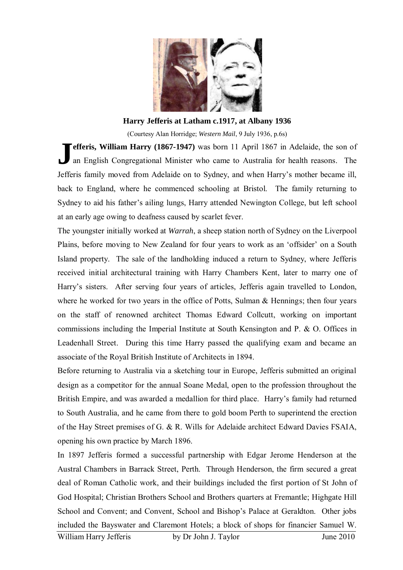

**Harry Jefferis at Latham c.1917, at Albany 1936** 

(Courtesy Alan Horridge; *Western Mail*, 9 July 1936, p.6s)

**efferis, William Harry (1867-1947)** was born 11 April 1867 in Adelaide, the son of an English Congregational Minister who came to Australia for health reasons. The Jefferis family moved from Adelaide on to Sydney, and when Harry's mother became ill, back to England, where he commenced schooling at Bristol. The family returning to Sydney to aid his father's ailing lungs, Harry attended Newington College, but left school at an early age owing to deafness caused by scarlet fever. **J**

The youngster initially worked at *Warrah*, a sheep station north of Sydney on the Liverpool Plains, before moving to New Zealand for four years to work as an 'offsider' on a South Island property. The sale of the landholding induced a return to Sydney, where Jefferis received initial architectural training with Harry Chambers Kent, later to marry one of Harry's sisters. After serving four years of articles, Jefferis again travelled to London, where he worked for two years in the office of Potts, Sulman  $\&$  Hennings; then four years on the staff of renowned architect Thomas Edward Collcutt, working on important commissions including the Imperial Institute at South Kensington and P. & O. Offices in Leadenhall Street. During this time Harry passed the qualifying exam and became an associate of the Royal British Institute of Architects in 1894.

Before returning to Australia via a sketching tour in Europe, Jefferis submitted an original design as a competitor for the annual Soane Medal, open to the profession throughout the British Empire, and was awarded a medallion for third place. Harry's family had returned to South Australia, and he came from there to gold boom Perth to superintend the erection of the Hay Street premises of G. & R. Wills for Adelaide architect Edward Davies FSAIA, opening his own practice by March 1896.

In 1897 Jefferis formed a successful partnership with Edgar Jerome Henderson at the Austral Chambers in Barrack Street, Perth. Through Henderson, the firm secured a great deal of Roman Catholic work, and their buildings included the first portion of St John of God Hospital; Christian Brothers School and Brothers quarters at Fremantle; Highgate Hill School and Convent; and Convent, School and Bishop's Palace at Geraldton. Other jobs included the Bayswater and Claremont Hotels; a block of shops for financier Samuel W.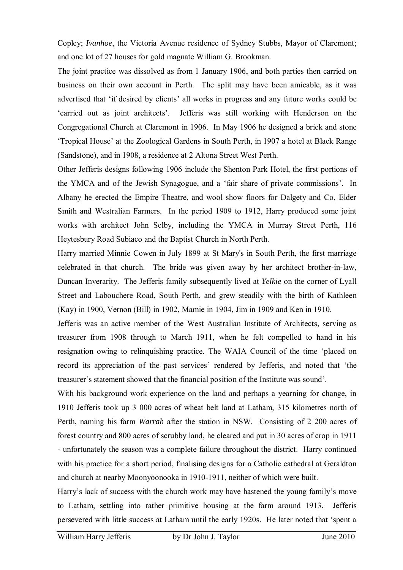Copley; *Ivanhoe*, the Victoria Avenue residence of Sydney Stubbs, Mayor of Claremont; and one lot of 27 houses for gold magnate William G. Brookman.

The joint practice was dissolved as from 1 January 1906, and both parties then carried on business on their own account in Perth. The split may have been amicable, as it was advertised that 'if desired by clients' all works in progress and any future works could be 'carried out as joint architects'. Jefferis was still working with Henderson on the Congregational Church at Claremont in 1906. In May 1906 he designed a brick and stone 'Tropical House' at the Zoological Gardens in South Perth, in 1907 a hotel at Black Range (Sandstone), and in 1908, a residence at 2 Altona Street West Perth.

Other Jefferis designs following 1906 include the Shenton Park Hotel, the first portions of the YMCA and of the Jewish Synagogue, and a 'fair share of private commissions'. In Albany he erected the Empire Theatre, and wool show floors for Dalgety and Co, Elder Smith and Westralian Farmers. In the period 1909 to 1912, Harry produced some joint works with architect John Selby, including the YMCA in Murray Street Perth, 116 Heytesbury Road Subiaco and the Baptist Church in North Perth.

Harry married Minnie Cowen in July 1899 at St Mary's in South Perth, the first marriage celebrated in that church. The bride was given away by her architect brother-in-law, Duncan Inverarity. The Jefferis family subsequently lived at *Yelkie* on the corner of Lyall Street and Labouchere Road, South Perth, and grew steadily with the birth of Kathleen (Kay) in 1900, Vernon (Bill) in 1902, Mamie in 1904, Jim in 1909 and Ken in 1910.

Jefferis was an active member of the West Australian Institute of Architects, serving as treasurer from 1908 through to March 1911, when he felt compelled to hand in his resignation owing to relinquishing practice. The WAIA Council of the time 'placed on record its appreciation of the past services' rendered by Jefferis, and noted that 'the treasurer's statement showed that the financial position of the Institute was sound'.

With his background work experience on the land and perhaps a yearning for change, in 1910 Jefferis took up 3 000 acres of wheat belt land at Latham, 315 kilometres north of Perth, naming his farm *Warrah* after the station in NSW. Consisting of 2 200 acres of forest country and 800 acres of scrubby land, he cleared and put in 30 acres of crop in 1911 - unfortunately the season was a complete failure throughout the district. Harry continued with his practice for a short period, finalising designs for a Catholic cathedral at Geraldton and church at nearby Moonyoonooka in 1910-1911, neither of which were built.

Harry's lack of success with the church work may have hastened the young family's move to Latham, settling into rather primitive housing at the farm around 1913. Jefferis persevered with little success at Latham until the early 1920s. He later noted that 'spent a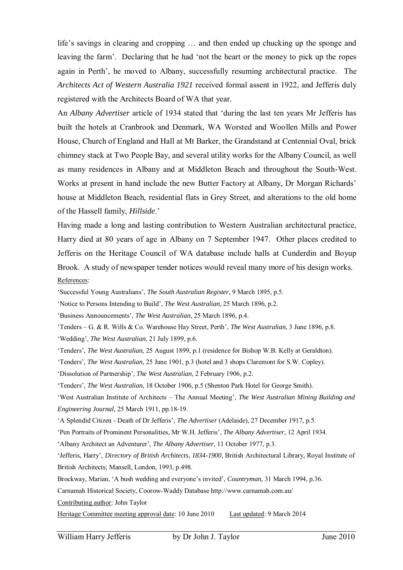life's savings in clearing and cropping … and then ended up chucking up the sponge and leaving the farm'. Declaring that he had 'not the heart or the money to pick up the ropes again in Perth', he moved to Albany, successfully resuming architectural practice. The *Architects Act of Western Australia 1921* received formal assent in 1922, and Jefferis duly registered with the Architects Board of WA that year.

An *Albany Advertiser* article of 1934 stated that 'during the last ten years Mr Jefferis has built the hotels at Cranbrook and Denmark, WA Worsted and Woollen Mills and Power House, Church of England and Hall at Mt Barker, the Grandstand at Centennial Oval, brick chimney stack at Two People Bay, and several utility works for the Albany Council, as well as many residences in Albany and at Middleton Beach and throughout the South-West. Works at present in hand include the new Butter Factory at Albany, Dr Morgan Richards' house at Middleton Beach, residential flats in Grey Street, and alterations to the old home of the Hassell family, *Hillside*.'

Having made a long and lasting contribution to Western Australian architectural practice, Harry died at 80 years of age in Albany on 7 September 1947. Other places credited to Jefferis on the Heritage Council of WA database include halls at Cunderdin and Boyup Brook. A study of newspaper tender notices would reveal many more of his design works. References:

'Successful Young Australians', *The South Australian Register*, 9 March 1895, p.5.

'Notice to Persons Intending to Build', *The West Australian*, 25 March 1896, p.2.

'Business Announcements', *The West Australian*, 25 March 1896, p.4.

'Tenders – G. & R. Wills & Co. Warehouse Hay Street, Perth', *The West Australian*, 3 June 1896, p.8. 'Wedding', *The West Australian*, 21 July 1899, p.6.

'Tenders', *The West Australian*, 25 August 1899, p.1 (residence for Bishop W.B. Kelly at Geraldton).

'Tenders', *The West Australian*, 25 June 1901, p.3 (hotel and 3 shops Claremont for S.W. Copley).

'Dissolution of Partnership', *The West Australian*, 2 February 1906, p.2.

'Tenders', *The West Australian*, 18 October 1906, p.5 (Shenton Park Hotel for George Smith).

'West Australian Institute of Architects – The Annual Meeting', *The West Australian Mining Building and Engineering Journal*, 25 March 1911, pp.18-19.

'A Splendid Citizen - Death of Dr Jefferis', *The Advertiser* (Adelaide), 27 December 1917, p.5.

'Pen Portraits of Prominent Personalities, Mr W.H. Jefferis', *The Albany Advertiser*, 12 April 1934.

'Albany Architect an Adventurer', *The Albany Advertiser*, 11 October 1977, p.3.

'Jefferis, Harry', *Directory of British Architects, 1834-1900*, British Architectural Library, Royal Institute of British Architects; Mansell, London, 1993, p.498.

Brockway, Marian, 'A bush wedding and everyone's invited', *Countryman*, 31 March 1994, p.36.

Carnamah Historical Society, Coorow-Waddy Database http://www.carnamah.com.au/

Contributing author: John Taylor

Heritage Committee meeting approval date: 10 June 2010 Last updated: 9 March 2014